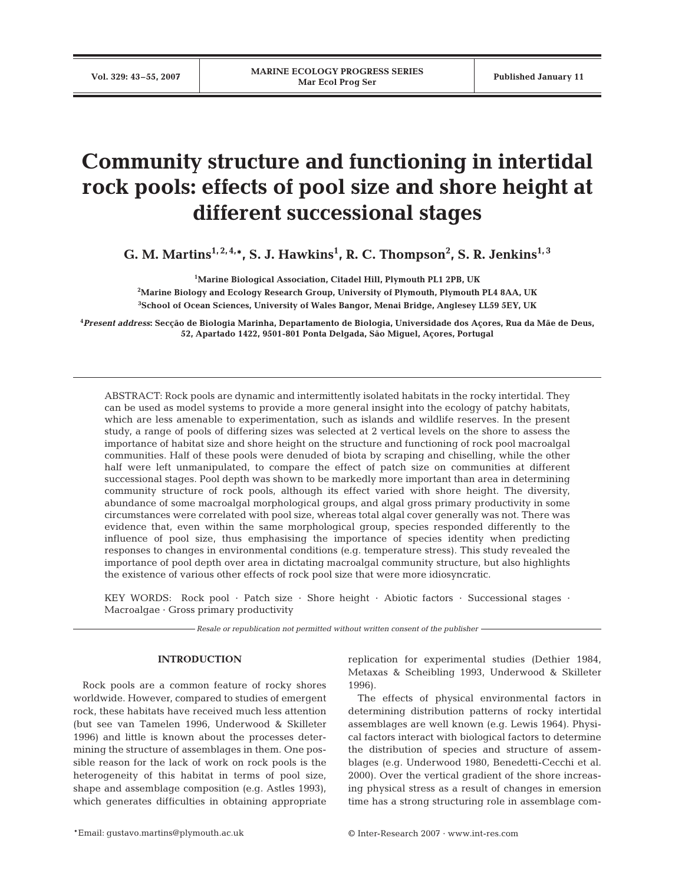# **Community structure and functioning in intertidal rock pools: effects of pool size and shore height at different successional stages**

**G. M. Martins<sup>1, 2, 4,\*, S. J. Hawkins<sup>1</sup>, R. C. Thompson<sup>2</sup>, S. R. Jenkins<sup>1, 3</sup>**</sup>

**1 Marine Biological Association, Citadel Hill, Plymouth PL1 2PB, UK 2 Marine Biology and Ecology Research Group, University of Plymouth, Plymouth PL4 8AA, UK 3 School of Ocean Sciences, University of Wales Bangor, Menai Bridge, Anglesey LL59 5EY, UK**

**4** *Present address***: Secção de Biologia Marinha, Departamento de Biologia, Universidade dos Açores, Rua da Mãe de Deus, 52, Apartado 1422, 9501-801 Ponta Delgada, São Miguel, Açores, Portugal**

ABSTRACT: Rock pools are dynamic and intermittently isolated habitats in the rocky intertidal. They can be used as model systems to provide a more general insight into the ecology of patchy habitats, which are less amenable to experimentation, such as islands and wildlife reserves. In the present study, a range of pools of differing sizes was selected at 2 vertical levels on the shore to assess the importance of habitat size and shore height on the structure and functioning of rock pool macroalgal communities. Half of these pools were denuded of biota by scraping and chiselling, while the other half were left unmanipulated, to compare the effect of patch size on communities at different successional stages. Pool depth was shown to be markedly more important than area in determining community structure of rock pools, although its effect varied with shore height. The diversity, abundance of some macroalgal morphological groups, and algal gross primary productivity in some circumstances were correlated with pool size, whereas total algal cover generally was not. There was evidence that, even within the same morphological group, species responded differently to the influence of pool size, thus emphasising the importance of species identity when predicting responses to changes in environmental conditions (e.g. temperature stress). This study revealed the importance of pool depth over area in dictating macroalgal community structure, but also highlights the existence of various other effects of rock pool size that were more idiosyncratic.

KEY WORDS: Rock pool · Patch size · Shore height · Abiotic factors · Successional stages · Macroalgae · Gross primary productivity

*Resale or republication not permitted without written consent of the publisher*

# **INTRODUCTION**

Rock pools are a common feature of rocky shores worldwide. However, compared to studies of emergent rock, these habitats have received much less attention (but see van Tamelen 1996, Underwood & Skilleter 1996) and little is known about the processes determining the structure of assemblages in them. One possible reason for the lack of work on rock pools is the heterogeneity of this habitat in terms of pool size, shape and assemblage composition (e.g. Astles 1993), which generates difficulties in obtaining appropriate

replication for experimental studies (Dethier 1984, Metaxas & Scheibling 1993, Underwood & Skilleter 1996).

The effects of physical environmental factors in determining distribution patterns of rocky intertidal assemblages are well known (e.g. Lewis 1964). Physical factors interact with biological factors to determine the distribution of species and structure of assemblages (e.g. Underwood 1980, Benedetti-Cecchi et al. 2000). Over the vertical gradient of the shore increasing physical stress as a result of changes in emersion time has a strong structuring role in assemblage com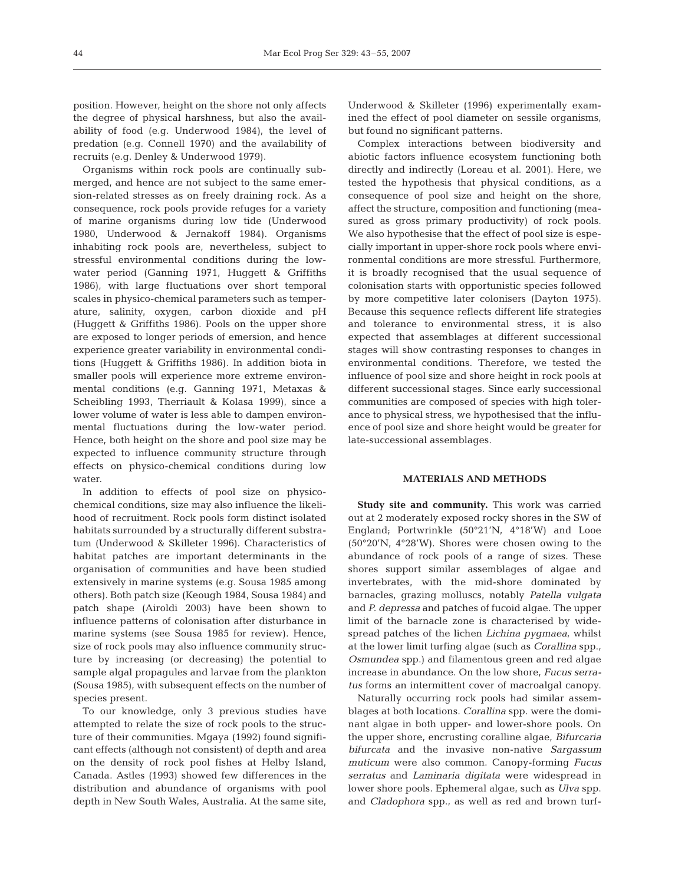position. However, height on the shore not only affects the degree of physical harshness, but also the availability of food (e.g. Underwood 1984), the level of predation (e.g. Connell 1970) and the availability of recruits (e.g. Denley & Underwood 1979).

Organisms within rock pools are continually submerged, and hence are not subject to the same emersion-related stresses as on freely draining rock. As a consequence, rock pools provide refuges for a variety of marine organisms during low tide (Underwood 1980, Underwood & Jernakoff 1984). Organisms inhabiting rock pools are, nevertheless, subject to stressful environmental conditions during the lowwater period (Ganning 1971, Huggett & Griffiths 1986), with large fluctuations over short temporal scales in physico-chemical parameters such as temperature, salinity, oxygen, carbon dioxide and pH (Huggett & Griffiths 1986). Pools on the upper shore are exposed to longer periods of emersion, and hence experience greater variability in environmental conditions (Huggett & Griffiths 1986). In addition biota in smaller pools will experience more extreme environmental conditions (e.g. Ganning 1971, Metaxas & Scheibling 1993, Therriault & Kolasa 1999), since a lower volume of water is less able to dampen environmental fluctuations during the low-water period. Hence, both height on the shore and pool size may be expected to influence community structure through effects on physico-chemical conditions during low water.

In addition to effects of pool size on physicochemical conditions, size may also influence the likelihood of recruitment. Rock pools form distinct isolated habitats surrounded by a structurally different substratum (Underwood & Skilleter 1996). Characteristics of habitat patches are important determinants in the organisation of communities and have been studied extensively in marine systems (e.g. Sousa 1985 among others). Both patch size (Keough 1984, Sousa 1984) and patch shape (Airoldi 2003) have been shown to influence patterns of colonisation after disturbance in marine systems (see Sousa 1985 for review). Hence, size of rock pools may also influence community structure by increasing (or decreasing) the potential to sample algal propagules and larvae from the plankton (Sousa 1985), with subsequent effects on the number of species present.

To our knowledge, only 3 previous studies have attempted to relate the size of rock pools to the structure of their communities. Mgaya (1992) found significant effects (although not consistent) of depth and area on the density of rock pool fishes at Helby Island, Canada. Astles (1993) showed few differences in the distribution and abundance of organisms with pool depth in New South Wales, Australia. At the same site,

Underwood & Skilleter (1996) experimentally examined the effect of pool diameter on sessile organisms, but found no significant patterns.

Complex interactions between biodiversity and abiotic factors influence ecosystem functioning both directly and indirectly (Loreau et al. 2001). Here, we tested the hypothesis that physical conditions, as a consequence of pool size and height on the shore, affect the structure, composition and functioning (measured as gross primary productivity) of rock pools. We also hypothesise that the effect of pool size is especially important in upper-shore rock pools where environmental conditions are more stressful. Furthermore, it is broadly recognised that the usual sequence of colonisation starts with opportunistic species followed by more competitive later colonisers (Dayton 1975). Because this sequence reflects different life strategies and tolerance to environmental stress, it is also expected that assemblages at different successional stages will show contrasting responses to changes in environmental conditions. Therefore, we tested the influence of pool size and shore height in rock pools at different successional stages. Since early successional communities are composed of species with high tolerance to physical stress, we hypothesised that the influence of pool size and shore height would be greater for late-successional assemblages.

#### **MATERIALS AND METHODS**

**Study site and community.** This work was carried out at 2 moderately exposed rocky shores in the SW of England; Portwrinkle (50°21'N, 4°18'W) and Looe (50°20'N, 4°28'W). Shores were chosen owing to the abundance of rock pools of a range of sizes. These shores support similar assemblages of algae and invertebrates, with the mid-shore dominated by barnacles, grazing molluscs, notably *Patella vulgata* and *P. depressa* and patches of fucoid algae. The upper limit of the barnacle zone is characterised by widespread patches of the lichen *Lichina pygmaea*, whilst at the lower limit turfing algae (such as *Corallina* spp., *Osmundea* spp.) and filamentous green and red algae increase in abundance. On the low shore, *Fucus serratus* forms an intermittent cover of macroalgal canopy.

Naturally occurring rock pools had similar assemblages at both locations. *Corallina* spp. were the dominant algae in both upper- and lower-shore pools. On the upper shore, encrusting coralline algae, *Bifurcaria bifurcata* and the invasive non-native *Sargassum muticum* were also common. Canopy-forming *Fucus serratus* and *Laminaria digitata* were widespread in lower shore pools. Ephemeral algae, such as *Ulva* spp. and *Cladophora* spp., as well as red and brown turf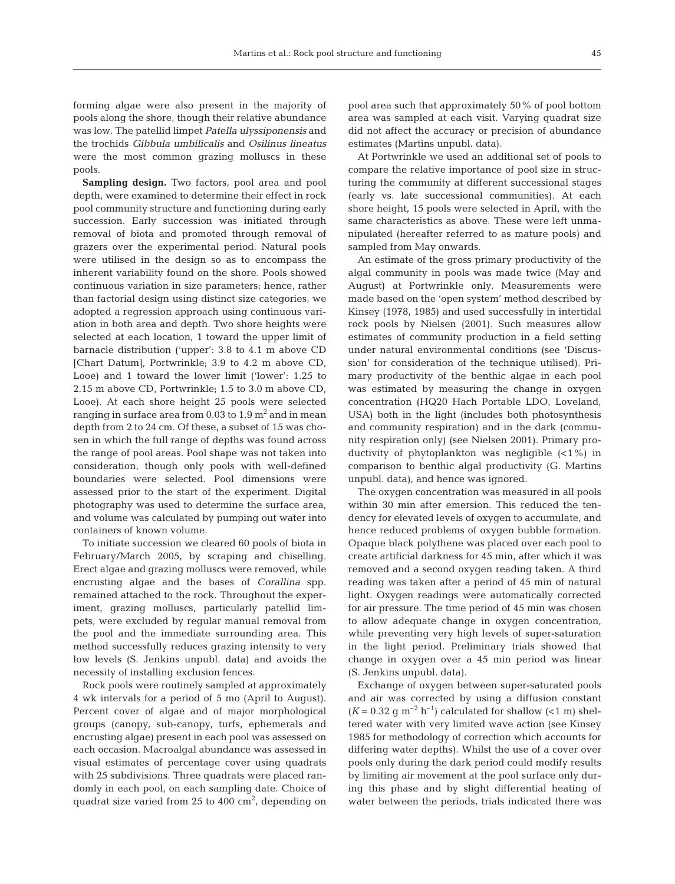forming algae were also present in the majority of pools along the shore, though their relative abundance was low. The patellid limpet *Patella ulyssiponensis* and the trochids *Gibbula umbilicalis* and *Osilinus lineatus* were the most common grazing molluscs in these pools.

Sampling design. Two factors, pool area and pool depth, were examined to determine their effect in rock pool community structure and functioning during early succession. Early succession was initiated through removal of biota and promoted through removal of grazers over the experimental period. Natural pools were utilised in the design so as to encompass the inherent variability found on the shore. Pools showed continuous variation in size parameters; hence, rather than factorial design using distinct size categories, we adopted a regression approach using continuous variation in both area and depth. Two shore heights were selected at each location, 1 toward the upper limit of barnacle distribution ('upper': 3.8 to 4.1 m above CD [Chart Datum], Portwrinkle; 3.9 to 4.2 m above CD, Looe) and 1 toward the lower limit ('lower': 1.25 to 2.15 m above CD, Portwrinkle; 1.5 to 3.0 m above CD, Looe). At each shore height 25 pools were selected ranging in surface area from 0.03 to  $1.9 \text{ m}^2$  and in mean depth from 2 to 24 cm. Of these, a subset of 15 was chosen in which the full range of depths was found across the range of pool areas. Pool shape was not taken into consideration, though only pools with well-defined boundaries were selected. Pool dimensions were assessed prior to the start of the experiment. Digital photography was used to determine the surface area, and volume was calculated by pumping out water into containers of known volume.

To initiate succession we cleared 60 pools of biota in February/March 2005, by scraping and chiselling. Erect algae and grazing molluscs were removed, while encrusting algae and the bases of *Corallina* spp. remained attached to the rock. Throughout the experiment, grazing molluscs, particularly patellid limpets, were excluded by regular manual removal from the pool and the immediate surrounding area. This method successfully reduces grazing intensity to very low levels (S. Jenkins unpubl. data) and avoids the necessity of installing exclusion fences.

Rock pools were routinely sampled at approximately 4 wk intervals for a period of 5 mo (April to August). Percent cover of algae and of major morphological groups (canopy, sub-canopy, turfs, ephemerals and encrusting algae) present in each pool was assessed on each occasion. Macroalgal abundance was assessed in visual estimates of percentage cover using quadrats with 25 subdivisions. Three quadrats were placed randomly in each pool, on each sampling date. Choice of quadrat size varied from  $25$  to  $400 \text{ cm}^2$ , depending on

pool area such that approximately 50% of pool bottom area was sampled at each visit. Varying quadrat size did not affect the accuracy or precision of abundance estimates (Martins unpubl. data).

At Portwrinkle we used an additional set of pools to compare the relative importance of pool size in structuring the community at different successional stages (early vs. late successional communities). At each shore height, 15 pools were selected in April, with the same characteristics as above. These were left unmanipulated (hereafter referred to as mature pools) and sampled from May onwards.

An estimate of the gross primary productivity of the algal community in pools was made twice (May and August) at Portwrinkle only. Measurements were made based on the 'open system' method described by Kinsey (1978, 1985) and used successfully in intertidal rock pools by Nielsen (2001). Such measures allow estimates of community production in a field setting under natural environmental conditions (see 'Discussion' for consideration of the technique utilised). Primary productivity of the benthic algae in each pool was estimated by measuring the change in oxygen concentration (HQ20 Hach Portable LDO, Loveland, USA) both in the light (includes both photosynthesis and community respiration) and in the dark (community respiration only) (see Nielsen 2001). Primary productivity of phytoplankton was negligible (<1%) in comparison to benthic algal productivity (G. Martins unpubl. data), and hence was ignored.

The oxygen concentration was measured in all pools within 30 min after emersion. This reduced the tendency for elevated levels of oxygen to accumulate, and hence reduced problems of oxygen bubble formation. Opaque black polythene was placed over each pool to create artificial darkness for 45 min, after which it was removed and a second oxygen reading taken. A third reading was taken after a period of 45 min of natural light. Oxygen readings were automatically corrected for air pressure. The time period of 45 min was chosen to allow adequate change in oxygen concentration, while preventing very high levels of super-saturation in the light period. Preliminary trials showed that change in oxygen over a 45 min period was linear (S. Jenkins unpubl. data).

Exchange of oxygen between super-saturated pools and air was corrected by using a diffusion constant  $(K = 0.32$  g m<sup>-2</sup> h<sup>-1</sup>) calculated for shallow (<1 m) sheltered water with very limited wave action (see Kinsey 1985 for methodology of correction which accounts for differing water depths). Whilst the use of a cover over pools only during the dark period could modify results by limiting air movement at the pool surface only during this phase and by slight differential heating of water between the periods, trials indicated there was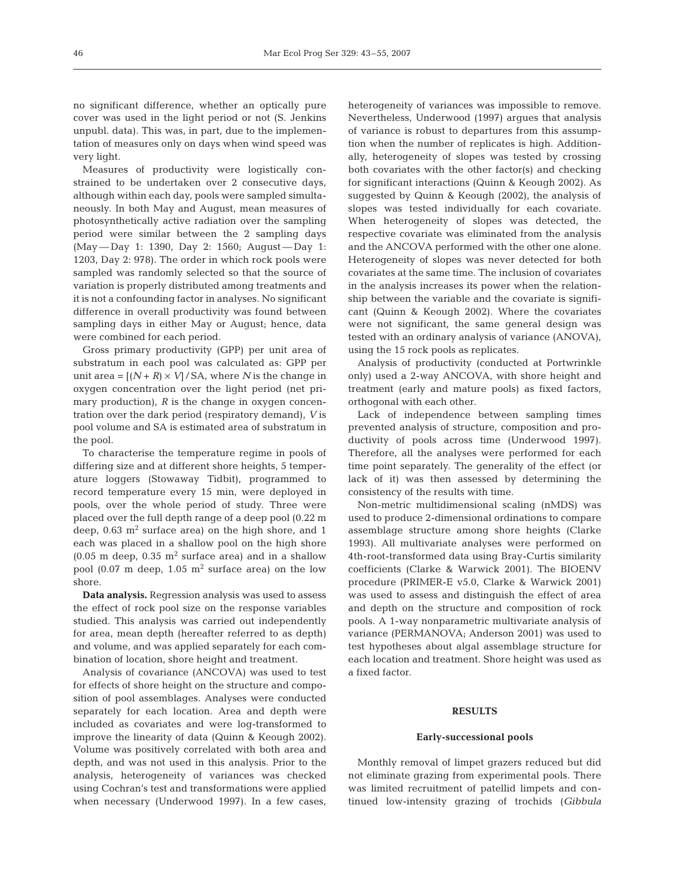no significant difference, whether an optically pure cover was used in the light period or not (S. Jenkins unpubl. data). This was, in part, due to the implementation of measures only on days when wind speed was very light.

Measures of productivity were logistically constrained to be undertaken over 2 consecutive days, although within each day, pools were sampled simultaneously. In both May and August, mean measures of photosynthetically active radiation over the sampling period were similar between the 2 sampling days (May — Day 1: 1390, Day 2: 1560; August — Day 1: 1203, Day 2: 978). The order in which rock pools were sampled was randomly selected so that the source of variation is properly distributed among treatments and it is not a confounding factor in analyses. No significant difference in overall productivity was found between sampling days in either May or August; hence, data were combined for each period.

Gross primary productivity (GPP) per unit area of substratum in each pool was calculated as: GPP per unit area =  $[(N + R) \times V] / SA$ , where *N* is the change in oxygen concentration over the light period (net primary production), *R* is the change in oxygen concentration over the dark period (respiratory demand), *V* is pool volume and SA is estimated area of substratum in the pool.

To characterise the temperature regime in pools of differing size and at different shore heights, 5 temperature loggers (Stowaway Tidbit), programmed to record temperature every 15 min, were deployed in pools, over the whole period of study. Three were placed over the full depth range of a deep pool (0.22 m deep,  $0.63$  m<sup>2</sup> surface area) on the high shore, and 1 each was placed in a shallow pool on the high shore  $(0.05 \text{ m}$  deep,  $0.35 \text{ m}^2$  surface area) and in a shallow pool (0.07 m deep, 1.05  $m^2$  surface area) on the low shore.

**Data analysis.** Regression analysis was used to assess the effect of rock pool size on the response variables studied. This analysis was carried out independently for area, mean depth (hereafter referred to as depth) and volume, and was applied separately for each combination of location, shore height and treatment.

Analysis of covariance (ANCOVA) was used to test for effects of shore height on the structure and composition of pool assemblages. Analyses were conducted separately for each location. Area and depth were included as covariates and were log-transformed to improve the linearity of data (Quinn & Keough 2002). Volume was positively correlated with both area and depth, and was not used in this analysis. Prior to the analysis, heterogeneity of variances was checked using Cochran's test and transformations were applied when necessary (Underwood 1997). In a few cases,

heterogeneity of variances was impossible to remove. Nevertheless, Underwood (1997) argues that analysis of variance is robust to departures from this assumption when the number of replicates is high. Additionally, heterogeneity of slopes was tested by crossing both covariates with the other factor(s) and checking for significant interactions (Quinn & Keough 2002). As suggested by Quinn & Keough (2002), the analysis of slopes was tested individually for each covariate. When heterogeneity of slopes was detected, the respective covariate was eliminated from the analysis and the ANCOVA performed with the other one alone. Heterogeneity of slopes was never detected for both covariates at the same time. The inclusion of covariates in the analysis increases its power when the relationship between the variable and the covariate is significant (Quinn & Keough 2002). Where the covariates were not significant, the same general design was tested with an ordinary analysis of variance (ANOVA), using the 15 rock pools as replicates.

Analysis of productivity (conducted at Portwrinkle only) used a 2-way ANCOVA, with shore height and treatment (early and mature pools) as fixed factors, orthogonal with each other.

Lack of independence between sampling times prevented analysis of structure, composition and productivity of pools across time (Underwood 1997). Therefore, all the analyses were performed for each time point separately. The generality of the effect (or lack of it) was then assessed by determining the consistency of the results with time.

Non-metric multidimensional scaling (nMDS) was used to produce 2-dimensional ordinations to compare assemblage structure among shore heights (Clarke 1993). All multivariate analyses were performed on 4th-root-transformed data using Bray-Curtis similarity coefficients (Clarke & Warwick 2001). The BIOENV procedure (PRIMER-E v5.0, Clarke & Warwick 2001) was used to assess and distinguish the effect of area and depth on the structure and composition of rock pools. A 1-way nonparametric multivariate analysis of variance (PERMANOVA; Anderson 2001) was used to test hypotheses about algal assemblage structure for each location and treatment. Shore height was used as a fixed factor.

## **RESULTS**

#### **Early-successional pools**

Monthly removal of limpet grazers reduced but did not eliminate grazing from experimental pools. There was limited recruitment of patellid limpets and continued low-intensity grazing of trochids (*Gibbula*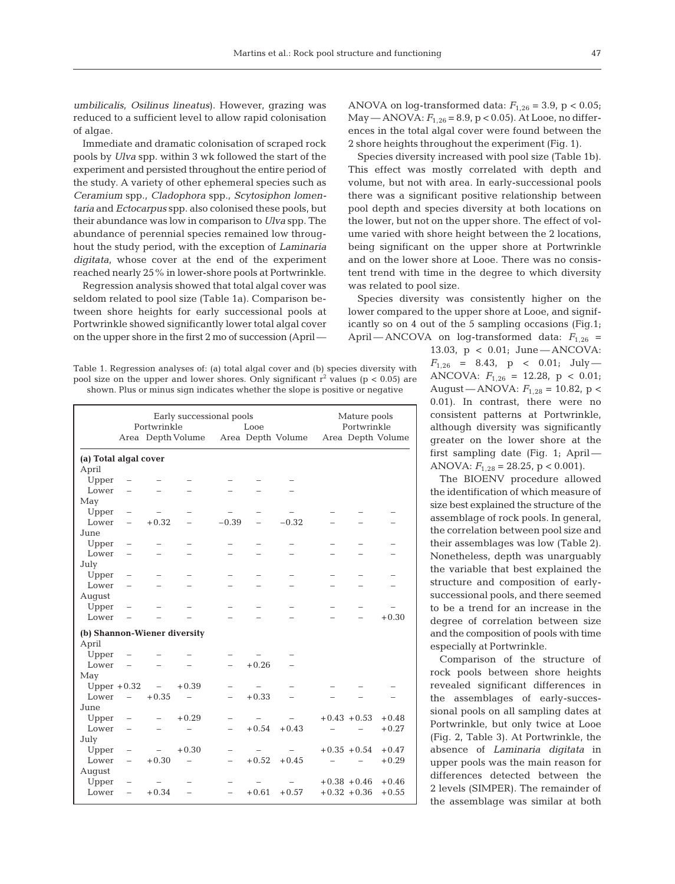*umbilicalis*, *Osilinus lineatus*). However, grazing was reduced to a sufficient level to allow rapid colonisation of algae.

Immediate and dramatic colonisation of scraped rock pools by *Ulva* spp. within 3 wk followed the start of the experiment and persisted throughout the entire period of the study. A variety of other ephemeral species such as *Ceramium* spp., *Cladophora* spp., *Scytosiphon lomentaria* and *Ectocarpus* spp. also colonised these pools, but their abundance was low in comparison to *Ulva* spp. The abundance of perennial species remained low throughout the study period, with the exception of *Laminaria digitata*, whose cover at the end of the experiment reached nearly 25% in lower-shore pools at Portwrinkle.

Regression analysis showed that total algal cover was seldom related to pool size (Table 1a). Comparison between shore heights for early successional pools at Portwrinkle showed significantly lower total algal cover on the upper shore in the first 2 mo of succession (April —

| Table 1. Regression analyses of: (a) total algal cover and (b) species diversity with     |  |
|-------------------------------------------------------------------------------------------|--|
| pool size on the upper and lower shores. Only significant $r^2$ values ( $p < 0.05$ ) are |  |
| shown. Plus or minus sign indicates whether the slope is positive or negative             |  |

|                              | Early successional pools<br>Portwrinkle<br>Looe |            |                          |                          |         |                                     |  | Mature pools<br>Portwrinkle |                   |  |  |
|------------------------------|-------------------------------------------------|------------|--------------------------|--------------------------|---------|-------------------------------------|--|-----------------------------|-------------------|--|--|
|                              |                                                 |            |                          |                          |         | Area Depth Volume Area Depth Volume |  |                             | Area Depth Volume |  |  |
| (a) Total algal cover        |                                                 |            |                          |                          |         |                                     |  |                             |                   |  |  |
| April                        |                                                 |            |                          |                          |         |                                     |  |                             |                   |  |  |
| Upper                        |                                                 |            |                          |                          |         |                                     |  |                             |                   |  |  |
| Lower                        |                                                 |            |                          |                          |         |                                     |  |                             |                   |  |  |
| May                          |                                                 |            |                          |                          |         |                                     |  |                             |                   |  |  |
| Upper                        | $\qquad \qquad -$                               |            |                          |                          |         |                                     |  |                             |                   |  |  |
| Lower                        | $\overline{\phantom{0}}$                        | $+0.32$    | $\overline{\phantom{0}}$ | $-0.39$                  |         | $-0.32$                             |  |                             |                   |  |  |
| June                         |                                                 |            |                          |                          |         |                                     |  |                             |                   |  |  |
| Upper                        | $\overline{\phantom{0}}$                        |            |                          |                          |         |                                     |  |                             |                   |  |  |
| Lower                        | $\overline{\phantom{0}}$                        |            |                          |                          |         |                                     |  |                             |                   |  |  |
| July                         |                                                 |            |                          |                          |         |                                     |  |                             |                   |  |  |
| Upper                        | $\overline{\phantom{0}}$                        |            |                          |                          |         |                                     |  |                             |                   |  |  |
| Lower                        | $\overline{\phantom{0}}$                        |            |                          |                          |         |                                     |  |                             |                   |  |  |
| August                       |                                                 |            |                          |                          |         |                                     |  |                             |                   |  |  |
| Upper                        | $\qquad \qquad -$                               |            |                          |                          |         |                                     |  |                             |                   |  |  |
| Lower                        |                                                 |            |                          |                          |         |                                     |  |                             | $+0.30$           |  |  |
| (b) Shannon-Wiener diversity |                                                 |            |                          |                          |         |                                     |  |                             |                   |  |  |
| April                        |                                                 |            |                          |                          |         |                                     |  |                             |                   |  |  |
| Upper                        |                                                 |            |                          |                          |         |                                     |  |                             |                   |  |  |
| Lower                        |                                                 |            |                          |                          | $+0.26$ |                                     |  |                             |                   |  |  |
| May                          |                                                 |            |                          |                          |         |                                     |  |                             |                   |  |  |
| Upper $+0.32$                |                                                 | $\sim$ $-$ | $+0.39$                  |                          |         |                                     |  |                             |                   |  |  |
| Lower                        | $\equiv$                                        | $+0.35$    |                          |                          | $+0.33$ |                                     |  |                             |                   |  |  |
| June                         |                                                 |            |                          |                          |         |                                     |  |                             |                   |  |  |
| Upper                        |                                                 |            | $+0.29$                  | $\overline{\phantom{0}}$ |         |                                     |  | $+0.43 + 0.53$              | $+0.48$           |  |  |
| Lower                        | $\overline{\phantom{0}}$                        |            |                          |                          | $+0.54$ | $+0.43$                             |  |                             | $+0.27$           |  |  |
| July                         |                                                 |            |                          |                          |         |                                     |  |                             |                   |  |  |
| Upper                        | $\qquad \qquad -$                               |            | $+0.30$                  |                          |         |                                     |  | $+0.35 + 0.54$              | $+0.47$           |  |  |
| Lower                        | $\equiv$                                        | $+0.30$    | $\overline{\phantom{0}}$ | $\equiv$                 | $+0.52$ | $+0.45$                             |  |                             | $+0.29$           |  |  |
| August                       |                                                 |            |                          |                          |         |                                     |  |                             |                   |  |  |
| Upper                        | $\overline{\phantom{0}}$                        |            |                          |                          |         |                                     |  | $+0.38 + 0.46$              | $+0.46$           |  |  |
| Lower                        | $\equiv$                                        | $+0.34$    |                          | $\overline{\phantom{0}}$ | $+0.61$ | $+0.57$                             |  | $+0.32 + 0.36$              | $+0.55$           |  |  |
|                              |                                                 |            |                          |                          |         |                                     |  |                             |                   |  |  |

ANOVA on log-transformed data:  $F_{1,26} = 3.9$ ,  $p < 0.05$ ;  $\text{May}$  — ANOVA:  $F_{1,26}$  = 8.9, p < 0.05). At Looe, no differences in the total algal cover were found between the 2 shore heights throughout the experiment (Fig. 1).

Species diversity increased with pool size (Table 1b). This effect was mostly correlated with depth and volume, but not with area. In early-successional pools there was a significant positive relationship between pool depth and species diversity at both locations on the lower, but not on the upper shore. The effect of volume varied with shore height between the 2 locations, being significant on the upper shore at Portwrinkle and on the lower shore at Looe. There was no consistent trend with time in the degree to which diversity was related to pool size.

Species diversity was consistently higher on the lower compared to the upper shore at Looe, and significantly so on 4 out of the 5 sampling occasions (Fig.1; April — ANCOVA on log-transformed data:  $F_{1,26}$  =

> 13.03, p < 0.01; June — ANCOVA:  $F_{1,26}$  = 8.43, p < 0.01; July — ANCOVA: *F*1,26 = 12.28, p < 0.01; August — ANOVA: *F*1,28 = 10.82, p < 0.01). In contrast, there were no consistent patterns at Portwrinkle, although diversity was significantly greater on the lower shore at the first sampling date (Fig. 1; April — ANOVA:  $F_{1,28} = 28.25$ , p < 0.001).

> The BIOENV procedure allowed the identification of which measure of size best explained the structure of the assemblage of rock pools. In general, the correlation between pool size and their assemblages was low (Table 2). Nonetheless, depth was unarguably the variable that best explained the structure and composition of earlysuccessional pools, and there seemed to be a trend for an increase in the degree of correlation between size and the composition of pools with time especially at Portwrinkle.

> Comparison of the structure of rock pools between shore heights revealed significant differences in the assemblages of early-successional pools on all sampling dates at Portwrinkle, but only twice at Looe (Fig. 2, Table 3). At Portwrinkle, the absence of *Laminaria digitata* in upper pools was the main reason for differences detected between the 2 levels (SIMPER). The remainder of the assemblage was similar at both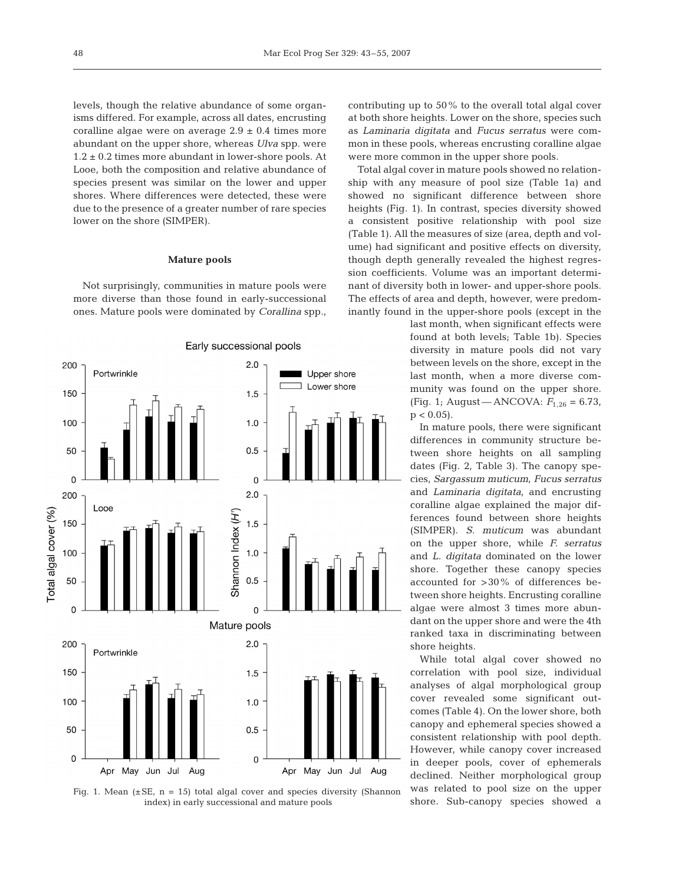levels, though the relative abundance of some organisms differed. For example, across all dates, encrusting coralline algae were on average  $2.9 \pm 0.4$  times more abundant on the upper shore, whereas *Ulva* spp. were  $1.2 \pm 0.2$  times more abundant in lower-shore pools. At Looe, both the composition and relative abundance of species present was similar on the lower and upper shores. Where differences were detected, these were due to the presence of a greater number of rare species lower on the shore (SIMPER).

#### **Mature pools**

Not surprisingly, communities in mature pools were more diverse than those found in early-successional ones. Mature pools were dominated by *Corallina* spp.,





contributing up to 50% to the overall total algal cover at both shore heights. Lower on the shore, species such as *Laminaria digitata* and *Fucus serratus* were common in these pools, whereas encrusting coralline algae were more common in the upper shore pools.

Total algal cover in mature pools showed no relationship with any measure of pool size (Table 1a) and showed no significant difference between shore heights (Fig. 1). In contrast, species diversity showed a consistent positive relationship with pool size (Table 1). All the measures of size (area, depth and volume) had significant and positive effects on diversity, though depth generally revealed the highest regression coefficients. Volume was an important determinant of diversity both in lower- and upper-shore pools. The effects of area and depth, however, were predominantly found in the upper-shore pools (except in the

> last month, when significant effects were found at both levels; Table 1b). Species diversity in mature pools did not vary between levels on the shore, except in the last month, when a more diverse community was found on the upper shore. (Fig. 1; August — ANCOVA: *F*1,26 = 6.73,  $p < 0.05$ ).

> In mature pools, there were significant differences in community structure between shore heights on all sampling dates (Fig. 2, Table 3). The canopy species, *Sargassum muticum*, *Fucus serratus* and *Laminaria digitata*, and encrusting coralline algae explained the major differences found between shore heights (SIMPER). *S. muticum* was abundant on the upper shore, while *F. serratus* and *L. digitata* dominated on the lower shore. Together these canopy species accounted for >30% of differences between shore heights. Encrusting coralline algae were almost 3 times more abundant on the upper shore and were the 4th ranked taxa in discriminating between shore heights.

> While total algal cover showed no correlation with pool size, individual analyses of algal morphological group cover revealed some significant outcomes (Table 4). On the lower shore, both canopy and ephemeral species showed a consistent relationship with pool depth. However, while canopy cover increased in deeper pools, cover of ephemerals declined. Neither morphological group was related to pool size on the upper shore. Sub-canopy species showed a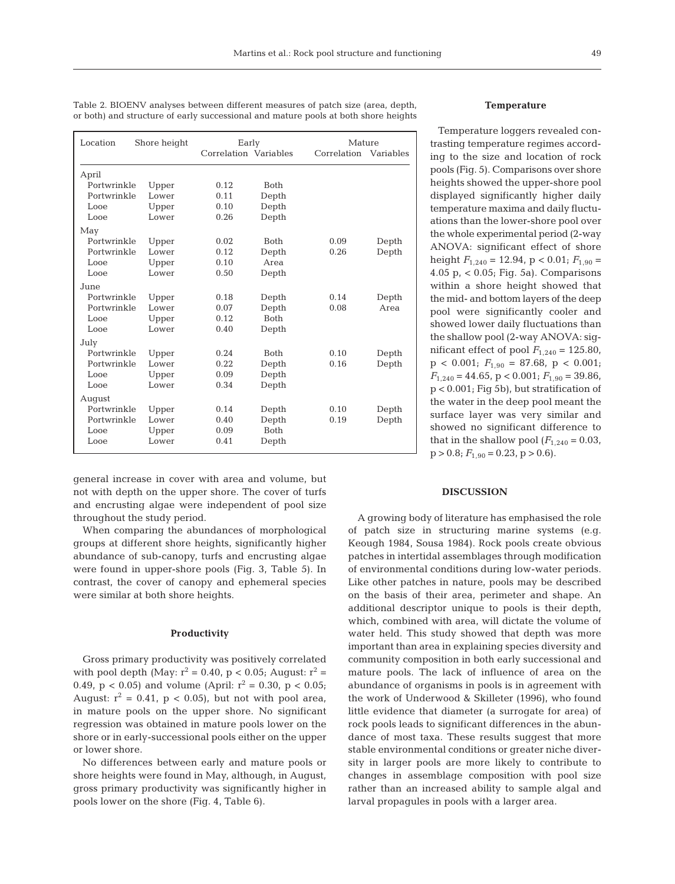| Location    | Shore height |      | Early                 | Mature |           |
|-------------|--------------|------|-----------------------|--------|-----------|
|             |              |      | Correlation Variables |        | Variables |
| April       |              |      |                       |        |           |
| Portwrinkle | Upper        | 0.12 | <b>Both</b>           |        |           |
| Portwrinkle | Lower        | 0.11 | Depth                 |        |           |
| Looe        | Upper        | 0.10 | Depth                 |        |           |
| Looe        | Lower        | 0.26 | Depth                 |        |           |
| May         |              |      |                       |        |           |
| Portwrinkle | Upper        | 0.02 | <b>Both</b>           | 0.09   | Depth     |
| Portwrinkle | Lower        | 0.12 | Depth                 | 0.26   | Depth     |
| Looe        | Upper        | 0.10 | Area                  |        |           |
| Looe        | Lower        | 0.50 | Depth                 |        |           |
| June        |              |      |                       |        |           |
| Portwrinkle | Upper        | 0.18 | Depth                 | 0.14   | Depth     |
| Portwrinkle | Lower        | 0.07 | Depth                 | 0.08   | Area      |
| Looe        | Upper        | 0.12 | <b>Both</b>           |        |           |
| Looe        | Lower        | 0.40 | Depth                 |        |           |
| July        |              |      |                       |        |           |
| Portwrinkle | Upper        | 0.24 | <b>Both</b>           | 0.10   | Depth     |
| Portwrinkle | Lower        | 0.22 | Depth                 | 0.16   | Depth     |
| Looe        | Upper        | 0.09 | Depth                 |        |           |
| Looe        | Lower        | 0.34 | Depth                 |        |           |
| August      |              |      |                       |        |           |
| Portwrinkle | Upper        | 0.14 | Depth                 | 0.10   | Depth     |
| Portwrinkle | Lower        | 0.40 | Depth                 | 0.19   | Depth     |
| Looe        | Upper        | 0.09 | <b>Both</b>           |        |           |
| Looe        | Lower        | 0.41 | Depth                 |        |           |

Table 2. BIOENV analyses between different measures of patch size (area, depth, or both) and structure of early successional and mature pools at both shore heights

general increase in cover with area and volume, but not with depth on the upper shore. The cover of turfs and encrusting algae were independent of pool size throughout the study period.

When comparing the abundances of morphological groups at different shore heights, significantly higher abundance of sub-canopy, turfs and encrusting algae were found in upper-shore pools (Fig. 3, Table 5). In contrast, the cover of canopy and ephemeral species were similar at both shore heights.

## **Productivity**

Gross primary productivity was positively correlated with pool depth (May:  $r^2 = 0.40$ , p < 0.05; August:  $r^2 =$ 0.49,  $p < 0.05$ ) and volume (April:  $r^2 = 0.30$ ,  $p < 0.05$ ; August:  $r^2 = 0.41$ ,  $p < 0.05$ ), but not with pool area, in mature pools on the upper shore. No significant regression was obtained in mature pools lower on the shore or in early-successional pools either on the upper or lower shore.

No differences between early and mature pools or shore heights were found in May, although, in August, gross primary productivity was significantly higher in pools lower on the shore (Fig. 4, Table 6).

## **Temperature**

Temperature loggers revealed contrasting temperature regimes according to the size and location of rock pools (Fig. 5). Comparisons over shore heights showed the upper-shore pool displayed significantly higher daily temperature maxima and daily fluctuations than the lower-shore pool over the whole experimental period (2-way ANOVA: significant effect of shore height  $F_{1,240} = 12.94$ , p < 0.01;  $F_{1,90} =$ 4.05 p, < 0.05; Fig. 5a). Comparisons within a shore height showed that the mid- and bottom layers of the deep pool were significantly cooler and showed lower daily fluctuations than the shallow pool (2-way ANOVA: significant effect of pool  $F_{1,240} = 125.80$ ,  $p < 0.001$ ;  $F_{1,90} = 87.68$ ,  $p < 0.001$ ;  $F_{1,240} = 44.65$ ,  $p < 0.001$ ;  $F_{1,90} = 39.86$ , p < 0.001; Fig 5b), but stratification of the water in the deep pool meant the surface layer was very similar and showed no significant difference to that in the shallow pool  $(F_{1,240} = 0.03,$  $p > 0.8$ ;  $F_{1.90} = 0.23$ ,  $p > 0.6$ ).

#### **DISCUSSION**

A growing body of literature has emphasised the role of patch size in structuring marine systems (e.g. Keough 1984, Sousa 1984). Rock pools create obvious patches in intertidal assemblages through modification of environmental conditions during low-water periods. Like other patches in nature, pools may be described on the basis of their area, perimeter and shape. An additional descriptor unique to pools is their depth, which, combined with area, will dictate the volume of water held. This study showed that depth was more important than area in explaining species diversity and community composition in both early successional and mature pools. The lack of influence of area on the abundance of organisms in pools is in agreement with the work of Underwood & Skilleter (1996), who found little evidence that diameter (a surrogate for area) of rock pools leads to significant differences in the abundance of most taxa. These results suggest that more stable environmental conditions or greater niche diversity in larger pools are more likely to contribute to changes in assemblage composition with pool size rather than an increased ability to sample algal and larval propagules in pools with a larger area.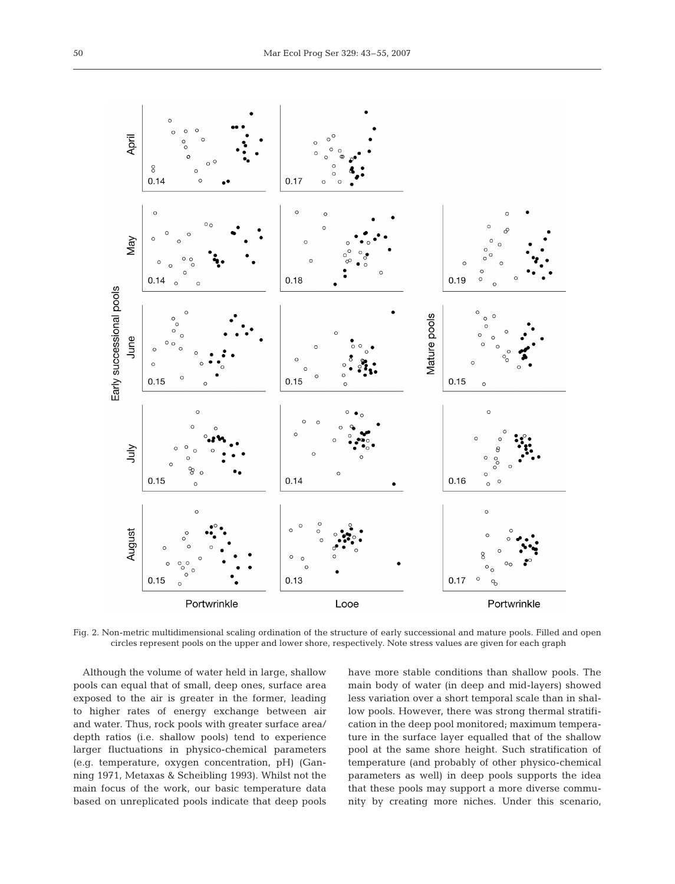

Fig. 2. Non-metric multidimensional scaling ordination of the structure of early successional and mature pools. Filled and open circles represent pools on the upper and lower shore, respectively. Note stress values are given for each graph

Although the volume of water held in large, shallow pools can equal that of small, deep ones, surface area exposed to the air is greater in the former, leading to higher rates of energy exchange between air and water. Thus, rock pools with greater surface area/ depth ratios (i.e. shallow pools) tend to experience larger fluctuations in physico-chemical parameters (e.g. temperature, oxygen concentration, pH) (Ganning 1971, Metaxas & Scheibling 1993). Whilst not the main focus of the work, our basic temperature data based on unreplicated pools indicate that deep pools

have more stable conditions than shallow pools. The main body of water (in deep and mid-layers) showed less variation over a short temporal scale than in shallow pools. However, there was strong thermal stratification in the deep pool monitored; maximum temperature in the surface layer equalled that of the shallow pool at the same shore height. Such stratification of temperature (and probably of other physico-chemical parameters as well) in deep pools supports the idea that these pools may support a more diverse community by creating more niches. Under this scenario,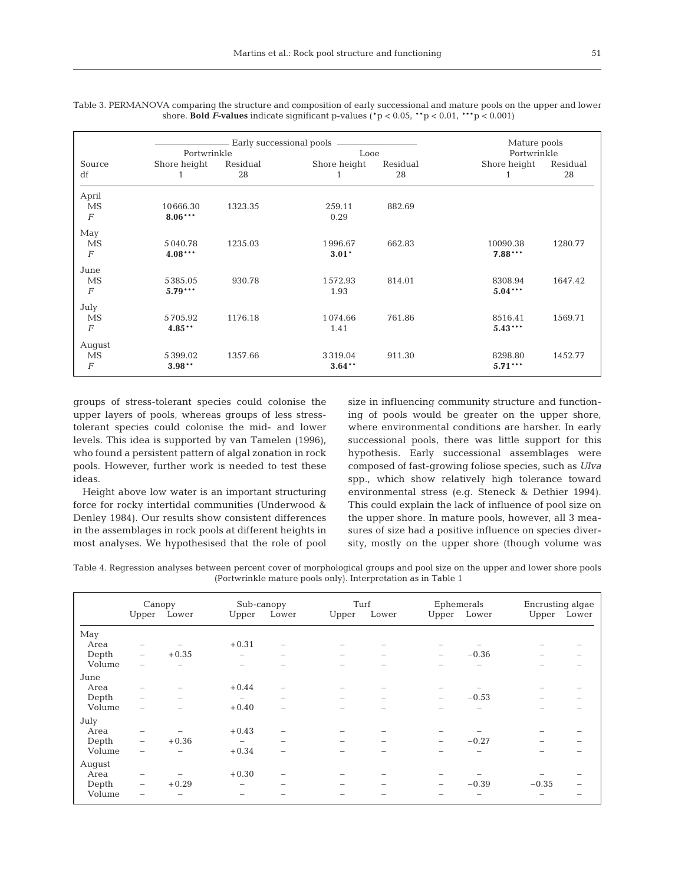|           |                         |                                    |                                                     | Mature pools               |                                                      |
|-----------|-------------------------|------------------------------------|-----------------------------------------------------|----------------------------|------------------------------------------------------|
|           |                         |                                    |                                                     |                            |                                                      |
|           |                         |                                    |                                                     |                            | Residual                                             |
| 1         | 28                      | 1                                  | 28                                                  | 1                          | 28                                                   |
|           |                         |                                    |                                                     |                            |                                                      |
| 10666.30  | 1323.35                 | 259.11                             | 882.69                                              |                            |                                                      |
| $8.06***$ |                         | 0.29                               |                                                     |                            |                                                      |
|           |                         |                                    |                                                     |                            |                                                      |
|           |                         |                                    |                                                     |                            | 1280.77                                              |
| $4.08***$ |                         | $3.01*$                            |                                                     |                            |                                                      |
|           |                         |                                    |                                                     |                            |                                                      |
| 5385.05   | 930.78                  | 1572.93                            | 814.01                                              | 8308.94                    | 1647.42                                              |
| $5.79***$ |                         | 1.93                               |                                                     | $5.04***$                  |                                                      |
|           |                         |                                    |                                                     |                            |                                                      |
| 5705.92   | 1176.18                 | 1074.66                            | 761.86                                              | 8516.41                    | 1569.71                                              |
| $4.85***$ |                         | 1.41                               |                                                     | $5.43***$                  |                                                      |
|           |                         |                                    |                                                     |                            |                                                      |
| 5399.02   | 1357.66                 | 3319.04                            | 911.30                                              | 8298.80                    | 1452.77                                              |
| $3.98**$  |                         | $3.64***$                          |                                                     | $5.71***$                  |                                                      |
|           | Shore height<br>5040.78 | Portwrinkle<br>Residual<br>1235.03 | Early successional pools<br>Shore height<br>1996.67 | Looe<br>Residual<br>662.83 | Portwrinkle<br>Shore height<br>10090.38<br>$7.88***$ |

Table 3. PERMANOVA comparing the structure and composition of early successional and mature pools on the upper and lower shore. **Bold** *F***-values** indicate significant p-values ( $p < 0.05$ ,  $* p < 0.01$ ,  $** p < 0.001$ )

groups of stress-tolerant species could colonise the upper layers of pools, whereas groups of less stresstolerant species could colonise the mid- and lower levels. This idea is supported by van Tamelen (1996), who found a persistent pattern of algal zonation in rock pools. However, further work is needed to test these ideas.

Height above low water is an important structuring force for rocky intertidal communities (Underwood & Denley 1984). Our results show consistent differences in the assemblages in rock pools at different heights in most analyses. We hypothesised that the role of pool

size in influencing community structure and functioning of pools would be greater on the upper shore, where environmental conditions are harsher. In early successional pools, there was little support for this hypothesis. Early successional assemblages were composed of fast-growing foliose species, such as *Ulva* spp., which show relatively high tolerance toward environmental stress (e.g. Steneck & Dethier 1994). This could explain the lack of influence of pool size on the upper shore. In mature pools, however, all 3 measures of size had a positive influence on species diversity, mostly on the upper shore (though volume was

Table 4. Regression analyses between percent cover of morphological groups and pool size on the upper and lower shore pools (Portwrinkle mature pools only). Interpretation as in Table 1

|        | Canopy                   |             | Sub-canopy               |                          | Turf              |                          |                          | Ephemerals<br>Upper Lower |          | Encrusting algae |
|--------|--------------------------|-------------|--------------------------|--------------------------|-------------------|--------------------------|--------------------------|---------------------------|----------|------------------|
|        |                          | Upper Lower | Upper Lower              |                          | Upper             | Lower                    |                          |                           |          | Upper Lower      |
| May    |                          |             |                          |                          |                   |                          |                          |                           |          |                  |
| Area   | $\overline{\phantom{0}}$ |             | $+0.31$                  |                          |                   |                          |                          |                           |          |                  |
| Depth  | $\overline{\phantom{m}}$ | $+0.35$     | -                        | $\overline{\phantom{a}}$ | $\qquad \qquad -$ | $\overline{\phantom{0}}$ | $\overline{\phantom{0}}$ | $-0.36$                   | $\equiv$ |                  |
| Volume |                          |             | -                        |                          |                   |                          |                          |                           |          |                  |
| June   |                          |             |                          |                          |                   |                          |                          |                           |          |                  |
| Area   |                          |             | $+0.44$                  |                          |                   |                          |                          |                           |          |                  |
| Depth  | $\overline{\phantom{0}}$ |             | $\equiv$                 |                          |                   |                          | $\overline{\phantom{0}}$ | $-0.53$                   |          |                  |
| Volume | $\overline{\phantom{0}}$ |             | $+0.40$                  |                          |                   |                          |                          |                           |          |                  |
| July   |                          |             |                          |                          |                   |                          |                          |                           |          |                  |
| Area   | $\overline{\phantom{0}}$ |             | $+0.43$                  |                          |                   |                          |                          |                           |          |                  |
| Depth  | $\qquad \qquad -$        | $+0.36$     | $\overline{\phantom{m}}$ | $\overline{\phantom{a}}$ | -                 | -                        | $\qquad \qquad$          | $-0.27$                   |          |                  |
| Volume |                          |             | $+0.34$                  | $\equiv$                 | -                 | -                        | -                        |                           |          |                  |
| August |                          |             |                          |                          |                   |                          |                          |                           |          |                  |
| Area   | $\overline{\phantom{0}}$ |             | $+0.30$                  |                          |                   |                          |                          |                           |          |                  |
| Depth  | $\overline{\phantom{a}}$ | $+0.29$     | $\overline{\phantom{0}}$ |                          | -                 | -                        | $\qquad \qquad$          | $-0.39$                   | $-0.35$  |                  |
| Volume |                          |             |                          |                          |                   |                          |                          |                           |          |                  |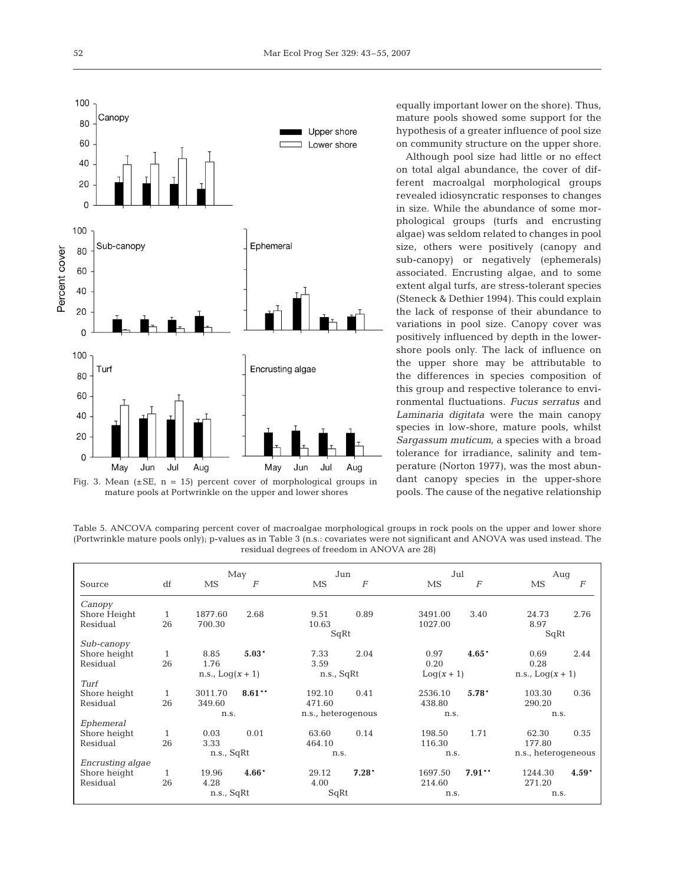

Fig. 3. Mean  $(\pm SE, n = 15)$  percent cover of morphological groups in mature pools at Portwrinkle on the upper and lower shores

equally important lower on the shore). Thus, mature pools showed some support for the hypothesis of a greater influence of pool size on community structure on the upper shore.

Although pool size had little or no effect on total algal abundance, the cover of different macroalgal morphological groups revealed idiosyncratic responses to changes in size. While the abundance of some morphological groups (turfs and encrusting algae) was seldom related to changes in pool size, others were positively (canopy and sub-canopy) or negatively (ephemerals) associated. Encrusting algae, and to some extent algal turfs, are stress-tolerant species (Steneck & Dethier 1994). This could explain the lack of response of their abundance to variations in pool size. Canopy cover was positively influenced by depth in the lowershore pools only. The lack of influence on the upper shore may be attributable to the differences in species composition of this group and respective tolerance to environmental fluctuations. *Fucus serratus* and *Laminaria digitata* were the main canopy species in low-shore, mature pools, whilst *Sargassum muticum*, a species with a broad tolerance for irradiance, salinity and temperature (Norton 1977), was the most abundant canopy species in the upper-shore pools. The cause of the negative relationship

Table 5. ANCOVA comparing percent cover of macroalgae morphological groups in rock pools on the upper and lower shore (Portwrinkle mature pools only); p-values as in Table 3 (n.s.: covariates were not significant and ANOVA was used instead. The residual degrees of freedom in ANOVA are 28)

|                  |              |                    | May              | Jun                |                  | Jul          |                  |                     | Aug              |  |
|------------------|--------------|--------------------|------------------|--------------------|------------------|--------------|------------------|---------------------|------------------|--|
| Source           | df           | MS                 | $\boldsymbol{F}$ | MS                 | $\boldsymbol{F}$ | MS           | $\boldsymbol{F}$ | MS                  | $\boldsymbol{F}$ |  |
| Canopy           |              |                    |                  |                    |                  |              |                  |                     |                  |  |
| Shore Height     | 1            | 1877.60            | 2.68             | 9.51               | 0.89             | 3491.00      | 3.40             | 24.73               | 2.76             |  |
| Residual         | 26           | 700.30             |                  | 10.63              |                  | 1027.00      |                  | 8.97                |                  |  |
|                  |              |                    |                  | SqRt               |                  |              |                  | SqRt                |                  |  |
| Sub-canopy       |              |                    |                  |                    |                  |              |                  |                     |                  |  |
| Shore height     | 1            | 8.85               | $5.03*$          | 7.33               | 2.04             | 0.97         | $4.65*$          | 0.69                | 2.44             |  |
| Residual         | 26           | 1.76               |                  | 3.59               |                  | 0.20         |                  | 0.28                |                  |  |
|                  |              | n.s., $Log(x + 1)$ |                  | n.s., SqRt         |                  | $Log(x + 1)$ |                  | n.s., $Log(x + 1)$  |                  |  |
| Turf             |              |                    |                  |                    |                  |              |                  |                     |                  |  |
| Shore height     | 1            | 3011.70            | $8.61***$        | 192.10             | 0.41             | 2536.10      | $5.78*$          | 103.30              | 0.36             |  |
| Residual         | 26           | 349.60             |                  | 471.60             |                  | 438.80       |                  | 290.20              |                  |  |
|                  |              | n.s.               |                  | n.s., heterogenous |                  | n.s.         |                  | n.s.                |                  |  |
| Ephemeral        |              |                    |                  |                    |                  |              |                  |                     |                  |  |
| Shore height     | 1            | 0.03               | 0.01             | 63.60              | 0.14             | 198.50       | 1.71             | 62.30               | 0.35             |  |
| Residual         | 26           | 3.33               |                  | 464.10             |                  | 116.30       |                  | 177.80              |                  |  |
|                  |              | n.s., SqRt         |                  | n.s.               |                  | n.s.         |                  | n.s., heterogeneous |                  |  |
| Encrusting algae |              |                    |                  |                    |                  |              |                  |                     |                  |  |
| Shore height     | $\mathbf{1}$ | 19.96              | $4.66*$          | 29.12              | $7.28*$          | 1697.50      | $7.91**$         | 1244.30             | $4.59*$          |  |
| Residual         | 26           | 4.28               |                  | 4.00               |                  | 214.60       |                  | 271.20              |                  |  |
|                  |              | n.s., SqRt         |                  | SqRt               |                  | n.s.         |                  | n.s.                |                  |  |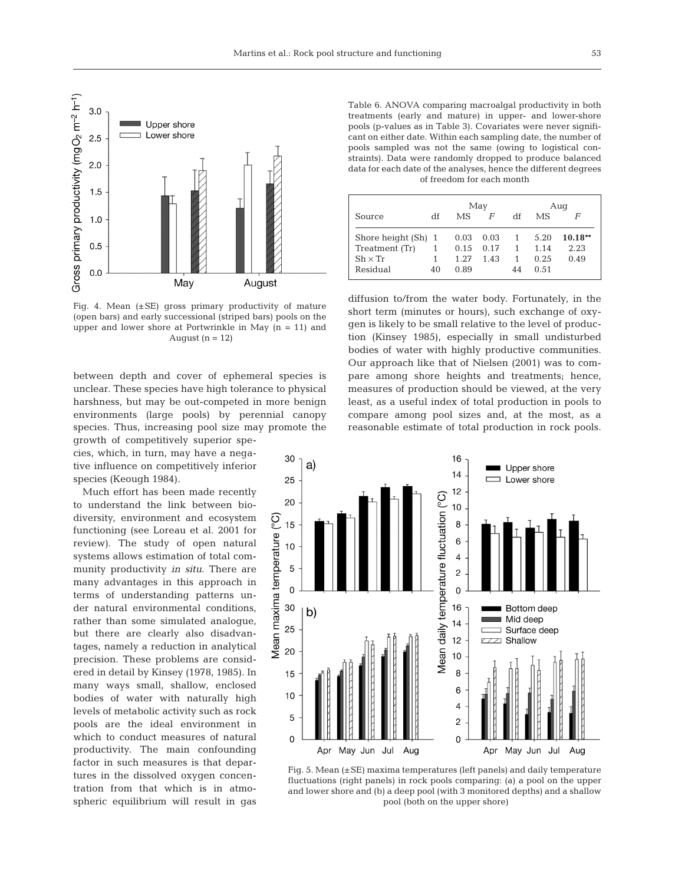

Fig. 4. Mean  $(\pm SE)$  gross primary productivity of mature (open bars) and early successional (striped bars) pools on the upper and lower shore at Portwrinkle in May  $(n = 11)$  and August ( $n = 12$ )

between depth and cover of ephemeral species is unclear. These species have high tolerance to physical harshness, but may be out-competed in more benign environments (large pools) by perennial canopy species. Thus, increasing pool size may promote the growth of competitively superior spe-

cies, which, in turn, may have a negative influence on competitively inferior species (Keough 1984).

Much effort has been made recently to understand the link between biodiversity, environment and ecosystem functioning (see Loreau et al. 2001 for review). The study of open natural systems allows estimation of total community productivity *in situ*. There are many advantages in this approach in terms of understanding patterns under natural environmental conditions, rather than some simulated analogue, but there are clearly also disadvantages, namely a reduction in analytical precision. These problems are considered in detail by Kinsey (1978, 1985). In many ways small, shallow, enclosed bodies of water with naturally high levels of metabolic activity such as rock pools are the ideal environment in which to conduct measures of natural productivity. The main confounding factor in such measures is that departures in the dissolved oxygen concentration from that which is in atmospheric equilibrium will result in gas

Table 6. ANOVA comparing macroalgal productivity in both treatments (early and mature) in upper- and lower-shore pools (p-values as in Table 3). Covariates were never significant on either date. Within each sampling date, the number of pools sampled was not the same (owing to logistical constraints). Data were randomly dropped to produce balanced data for each date of the analyses, hence the different degrees of freedom for each month

|                     |    |      | May  |    | Aug       |           |  |
|---------------------|----|------|------|----|-----------|-----------|--|
| Source              | df | MS   | F    | df | <b>MS</b> | F         |  |
| Shore height (Sh) 1 |    | 0.03 | 0.03 | 1  | 5.20      | $10.18**$ |  |
| Treatment (Tr)      |    | 0.15 | 0.17 | 1  | 1.14      | 2.23      |  |
| $Sh \times Tr$      |    | 1.27 | 1.43 | 1  | 0.25      | 0.49      |  |
| Residual            | 40 | 0.89 |      | 44 | 0.51      |           |  |

diffusion to/from the water body. Fortunately, in the short term (minutes or hours), such exchange of oxygen is likely to be small relative to the level of production (Kinsey 1985), especially in small undisturbed bodies of water with highly productive communities. Our approach like that of Nielsen (2001) was to compare among shore heights and treatments; hence, measures of production should be viewed, at the very least, as a useful index of total production in pools to compare among pool sizes and, at the most, as a reasonable estimate of total production in rock pools.



Fig. 5. Mean (±SE) maxima temperatures (left panels) and daily temperature fluctuations (right panels) in rock pools comparing: (a) a pool on the upper and lower shore and (b) a deep pool (with 3 monitored depths) and a shallow pool (both on the upper shore)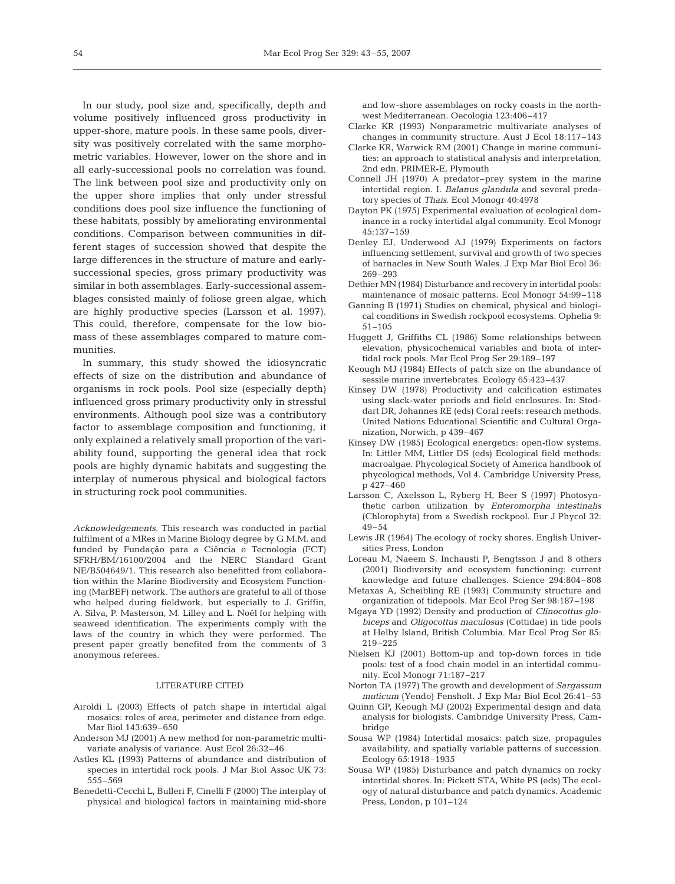In our study, pool size and, specifically, depth and volume positively influenced gross productivity in upper-shore, mature pools. In these same pools, diversity was positively correlated with the same morphometric variables. However, lower on the shore and in all early-successional pools no correlation was found. The link between pool size and productivity only on the upper shore implies that only under stressful conditions does pool size influence the functioning of these habitats, possibly by ameliorating environmental conditions. Comparison between communities in different stages of succession showed that despite the large differences in the structure of mature and earlysuccessional species, gross primary productivity was similar in both assemblages. Early-successional assemblages consisted mainly of foliose green algae, which are highly productive species (Larsson et al. 1997). This could, therefore, compensate for the low biomass of these assemblages compared to mature communities.

In summary, this study showed the idiosyncratic effects of size on the distribution and abundance of organisms in rock pools. Pool size (especially depth) influenced gross primary productivity only in stressful environments. Although pool size was a contributory factor to assemblage composition and functioning, it only explained a relatively small proportion of the variability found, supporting the general idea that rock pools are highly dynamic habitats and suggesting the interplay of numerous physical and biological factors in structuring rock pool communities.

*Acknowledgements.* This research was conducted in partial fulfilment of a MRes in Marine Biology degree by G.M.M. and funded by Fundação para a Ciência e Tecnologia (FCT) SFRH/BM/16100/2004 and the NERC Standard Grant NE/B504649/1. This research also benefitted from collaboration within the Marine Biodiversity and Ecosystem Functioning (MarBEF) network. The authors are grateful to all of those who helped during fieldwork, but especially to J. Griffin, A. Silva, P. Masterson, M. Lilley and L. Noël for helping with seaweed identification. The experiments comply with the laws of the country in which they were performed. The present paper greatly benefited from the comments of 3 anonymous referees.

## LITERATURE CITED

- Airoldi L (2003) Effects of patch shape in intertidal algal mosaics: roles of area, perimeter and distance from edge. Mar Biol 143:639–650
- Anderson MJ (2001) A new method for non-parametric multivariate analysis of variance. Aust Ecol 26:32–46
- Astles KL (1993) Patterns of abundance and distribution of species in intertidal rock pools. J Mar Biol Assoc UK 73: 555–569
- Benedetti-Cecchi L, Bulleri F, Cinelli F (2000) The interplay of physical and biological factors in maintaining mid-shore

and low-shore assemblages on rocky coasts in the northwest Mediterranean. Oecologia 123:406–417

- Clarke KR (1993) Nonparametric multivariate analyses of changes in community structure. Aust J Ecol 18:117–143
- Clarke KR, Warwick RM (2001) Change in marine communities: an approach to statistical analysis and interpretation, 2nd edn. PRIMER-E, Plymouth
- Connell JH (1970) A predator–prey system in the marine intertidal region. I. *Balanus glandula* and several predatory species of *Thais*. Ecol Monogr 40:4978
- Dayton PK (1975) Experimental evaluation of ecological dominance in a rocky intertidal algal community. Ecol Monogr 45:137–159
- Denley EJ, Underwood AJ (1979) Experiments on factors influencing settlement, survival and growth of two species of barnacles in New South Wales. J Exp Mar Biol Ecol 36: 269–293
- Dethier MN (1984) Disturbance and recovery in intertidal pools: maintenance of mosaic patterns. Ecol Monogr 54:99–118
- Ganning B (1971) Studies on chemical, physical and biological conditions in Swedish rockpool ecosystems. Ophelia 9: 51–105
- Huggett J, Griffiths CL (1986) Some relationships between elevation, physicochemical variables and biota of intertidal rock pools. Mar Ecol Prog Ser 29:189–197
- Keough MJ (1984) Effects of patch size on the abundance of sessile marine invertebrates. Ecology 65:423–437
- Kinsey DW (1978) Productivity and calcification estimates using slack-water periods and field enclosures. In: Stoddart DR, Johannes RE (eds) Coral reefs: research methods. United Nations Educational Scientific and Cultural Organization, Norwich, p 439–467
- Kinsey DW (1985) Ecological energetics: open-flow systems. In: Littler MM, Littler DS (eds) Ecological field methods: macroalgae. Phycological Society of America handbook of phycological methods, Vol 4. Cambridge University Press, p 427–460
- Larsson C, Axelsson L, Ryberg H, Beer S (1997) Photosynthetic carbon utilization by *Enteromorpha intestinalis* (Chlorophyta) from a Swedish rockpool. Eur J Phycol 32: 49–54
- Lewis JR (1964) The ecology of rocky shores. English Universities Press, London
- Loreau M, Naeem S, Inchausti P, Bengtsson J and 8 others (2001) Biodiversity and ecosystem functioning: current knowledge and future challenges. Science 294:804–808
- Metaxas A, Scheibling RE (1993) Community structure and organization of tidepools. Mar Ecol Prog Ser 98:187–198
- Mgaya YD (1992) Density and production of *Clinocottus globiceps* and *Oligocottus maculosus* (Cottidae) in tide pools at Helby Island, British Columbia. Mar Ecol Prog Ser 85: 219–225
- Nielsen KJ (2001) Bottom-up and top-down forces in tide pools: test of a food chain model in an intertidal community. Ecol Monogr 71:187–217
- Norton TA (1977) The growth and development of *Sargassum muticum* (Yendo) Fensholt. J Exp Mar Biol Ecol 26:41–53
- Quinn GP, Keough MJ (2002) Experimental design and data analysis for biologists. Cambridge University Press, Cambridge
- Sousa WP (1984) Intertidal mosaics: patch size, propagules availability, and spatially variable patterns of succession. Ecology 65:1918–1935
- Sousa WP (1985) Disturbance and patch dynamics on rocky intertidal shores. In: Pickett STA, White PS (eds) The ecology of natural disturbance and patch dynamics. Academic Press, London, p 101–124